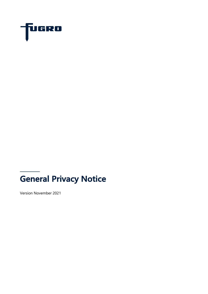

# **General Privacy Notice**

Version November 2021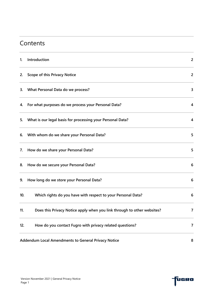#### **Contents**

| 1.  | Introduction                                                            | $\overline{2}$ |
|-----|-------------------------------------------------------------------------|----------------|
| 2.  | <b>Scope of this Privacy Notice</b>                                     | $\overline{2}$ |
| 3.  | What Personal Data do we process?                                       | 3              |
| 4.  | For what purposes do we process your Personal Data?                     | 4              |
| 5.  | What is our legal basis for processing your Personal Data?              | 4              |
| 6.  | With whom do we share your Personal Data?                               | 5              |
| 7.  | How do we share your Personal Data?                                     | 5              |
| 8.  | How do we secure your Personal Data?                                    | 6              |
| 9.  | How long do we store your Personal Data?                                | 6              |
| 10. | Which rights do you have with respect to your Personal Data?            | 6              |
| 11. | Does this Privacy Notice apply when you link through to other websites? | $\overline{7}$ |
| 12. | How do you contact Fugro with privacy related questions?                | 7              |
|     | Addendum Local Amendments to General Privacy Notice                     | 8              |

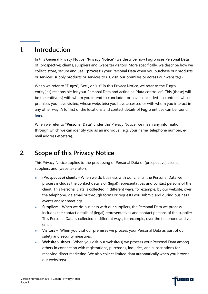#### **1. Introduction**

In this General Privacy Notice ("**Privacy Notice**") we describe how Fugro uses Personal Data of (prospective) clients, suppliers and (website) visitors. More specifically, we describe how we collect, store, secure and use ("**process**") your Personal Data when you purchase our products or services, supply products or services to us, visit our premises or access our website(s).

When we refer to "**Fugro**", "**we**", or "**us**" in this Privacy Notice, we refer to the Fugro entity(ies) responsible for your Personal Data and acting as "data controller". This (these) will be the entity(ies) with whom you intend to conclude - or have concluded - a contract, whose premises you have visited, whose website(s) you have accessed or with whom you interact in any other way. A full list of the locations and contact details of Fugro entities can be found here.

When we refer to "**Personal Data**" under this Privacy Notice, we mean any information through which we can identify you as an individual (e.g. your name, telephone number, email address etcetera).

## **2. Scope of this Privacy Notice**

This Privacy Notice applies to the processing of Personal Data of (prospective) clients, suppliers and (website) visitors.

- <sup>n</sup> **(Prospective) clients -** When we do business with our clients, the Personal Data we process includes the contact details of (legal) representatives and contact persons of the client. This Personal Data is collected in different ways, for example, by our website, over the telephone, via email or through forms or requests you submit, and during business events and/or meetings.
- **Examplement -** Suppliers When we do business with our suppliers, the Personal Data we process includes the contact details of (legal) representatives and contact persons of the supplier. This Personal Data is collected in different ways, for example, over the telephone and via email.
- <sup>n</sup> **Visitors**  When you visit our premises we process your Personal Data as part of our safety and security measures.
- **N** Website visitors When you visit our website(s) we process your Personal Data among others in connection with registrations, purchases, inquiries, and subscriptions for receiving direct marketing. We also collect limited data automatically when you browse our website(s).

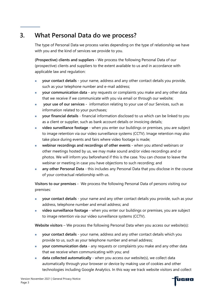# **3. What Personal Data do we process?**

The type of Personal Data we process varies depending on the type of relationship we have with you and the kind of services we provide to you.

**(Prospective) clients and suppliers -** We process the following Personal Data of our (prospective) clients and suppliers to the extent available to us and in accordance with applicable law and regulation:

- your contact details your name, address and any other contact details you provide, such as your telephone number and e-mail address;
- <sup>n</sup> **your communication data -** any requests or complaints you make and any other data that we receive if we communicate with you via email or through our website;
- **n your use of our services** information relating to your use of our Services, such as information related to your purchases;
- **n** your financial details financial information disclosed to us which can be linked to you as a client or supplier, such as bank account details or invoicing details;
- **n** video surveillance footage when you enter our buildings or premises, you are subject to image retention via our video surveillance systems (CCTV). Image retention may also take place during events and fairs where video footage is made;
- **n** webinar recordings and recordings of other events when you attend webinars or other meetings hosted by us, we may make sound and/or video recordings and or photos. We will inform you beforehand if this is the case. You can choose to leave the webinar or meeting in case you have objections to such recording; and
- any other Personal Data this includes any Personal Data that you disclose in the course of your contractual relationship with us.

**Visitors to our premises -** We process the following Personal Data of persons visiting our premises:

- <sup>n</sup> **your contact details** your name and any other contact details you provide, such as your address, telephone number and email address; and
- <sup>n</sup> **video surveillance footage** when you enter our buildings or premises, you are subject to image retention via our video surveillance systems (CCTV).

**Website visitors** – We process the following Personal Data when you access our website(s):

- **n** your contact details your name, address and any other contact details which you provide to us, such as your telephone number and email address;
- **n** your communication data any requests or complaints you make and any other data that we receive when communicating with you; and
- **data collected automatically** when you access our website(s), we collect data automatically through your browser or device by making use of cookies and other technologies including Google Analytics. In this way we track website visitors and collect

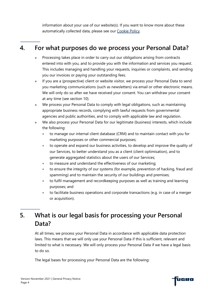information about your use of our website(s). If you want to know more about these automatically collected data, please see our Cookie Policy.

# **4. For what purposes do we process your Personal Data?**

- Processing takes place in order to carry out our obligations arising from contracts entered into with you, and to provide you with the information and services you request. This includes managing and handling your requests, inquiries or complaints, and sending you our invoices or paying your outstanding fees.
- If you are a (prospective) client or website visitor, we process your Personal Data to send you marketing communications (such as newsletters) via email or other electronic means. We will only do so after we have received your consent. You can withdraw your consent at any time (see section 10).
- We process your Personal Data to comply with legal obligations, such as maintaining appropriate business records, complying with lawful requests from governmental agencies and public authorities, and to comply with applicable law and regulation.
- We also process your Personal Data for our legitimate (business) interests, which include the following:
	- to manage our internal client database (CRM) and to maintain contact with you for marketing purposes or other commercial purposes;
	- to operate and expand our business activities, to develop and improve the quality of our Services, to better understand you as a client (client optimisation), and to generate aggregated statistics about the users of our Services;
	- to measure and understand the effectiveness of our marketing;
	- to ensure the integrity of our systems (for example, prevention of hacking, fraud and spamming) and to maintain the security of our buildings and premises;
	- to fulfil management and recordkeeping purposes as well as training and learning purposes; and
	- to facilitate business operations and corporate transactions (e.g. in case of a merger or acquisition).

# **5. What is our legal basis for processing your Personal Data?**

At all times, we process your Personal Data in accordance with applicable data protection laws. This means that we will only use your Personal Data if this is sufficient, relevant and limited to what is necessary. We will only process your Personal Data if we have a legal basis to do so.

The legal bases for processing your Personal Data are the following: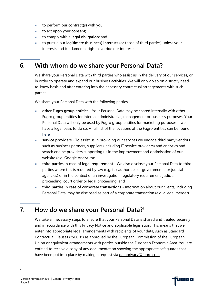- to perform our **contract(s)** with you;
- to act upon your **consent**;
- <sup>n</sup> to comply with a **legal obligation;** and
- <sup>n</sup> to pursue our **legitimate (business) interests** (or those of third parties) unless your interests and fundamental rights override our interests.

## **6. With whom do we share your Personal Data?**

We share your Personal Data with third parties who assist us in the delivery of our services, or in order to operate and expand our business activities. We will only do so on a strictly needto-know basis and after entering into the necessary contractual arrangements with such parties.

We share your Personal Data with the following parties:

- <sup>n</sup> **other Fugro group entities -** Your Personal Data may be shared internally with other Fugro group entities for internal administrative, management or business purposes. Your Personal Data will only be used by Fugro group entities for marketing purposes if we have a legal basis to do so. A full list of the locations of the Fugro entities can be found here;
- **Example 1 service providers** To assist us in providing our services we engage third party vendors, such as business partners, suppliers (including IT service providers) and analytics and search engine providers supporting us in the improvement and optimisation of our website (e.g. Google Analytics);
- **third parties in case of legal requirement** We also disclose your Personal Data to third parties where this is required by law (e.g. tax authorities or governmental or judicial agencies) or in the context of an investigation, regulatory requirement, judicial proceeding, court order or legal proceeding; and
- **third parties in case of corporate transactions Information about our clients, including** Personal Data, may be disclosed as part of a corporate transaction (e.g. a legal merger).

# **7. How do we share your Personal Data?1**

We take all necessary steps to ensure that your Personal Data is shared and treated securely and in accordance with this Privacy Notice and applicable legislation. This means that we enter into appropriate legal arrangements with recipients of your data, such as Standard Contractual Clauses ("SCC's") as approved by the European Commission of the European Union or equivalent arrangements with parties outside the European Economic Area. You are entitled to receive a copy of any documentation showing the appropriate safeguards that have been put into place by making a request via dataprivacy@fugro.com.

1

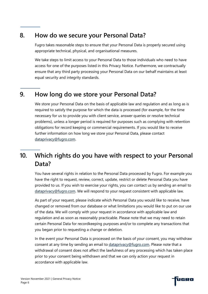#### **8. How do we secure your Personal Data?**

Fugro takes reasonable steps to ensure that your Personal Data is properly secured using appropriate technical, physical, and organisational measures.

We take steps to limit access to your Personal Data to those individuals who need to have access for one of the purposes listed in this Privacy Notice. Furthermore, we contractually ensure that any third party processing your Personal Data on our behalf maintains at least equal security and integrity standards.

#### **9. How long do we store your Personal Data?**

We store your Personal Data on the basis of applicable law and regulation and as long as is required to satisfy the purpose for which the data is processed (for example, for the time necessary for us to provide you with client service, answer queries or resolve technical problems), unless a longer period is required for purposes such as complying with retention obligations for record keeping or commercial requirements. If you would like to receive further information on how long we store your Personal Data, please contact dataprivacy@fugro.com.

## **10. Which rights do you have with respect to your Personal Data?**

You have several rights in relation to the Personal Data processed by Fugro. For example you have the right to request, review, correct, update, restrict or delete Personal Data you have provided to us. If you wish to exercise your rights, you can contact us by sending an email to dataprivacy@fugro.com. We will respond to your request consistent with applicable law.

As part of your request, please indicate which Personal Data you would like to receive, have changed or removed from our database or what limitations you would like to put on our use of the data. We will comply with your request in accordance with applicable law and regulation and as soon as reasonably practicable. Please note that we may need to retain certain Personal Data for recordkeeping purposes and/or to complete any transactions that you began prior to requesting a change or deletion.

In the event your Personal Data is processed on the basis of your consent, you may withdraw consent at any time by sending an email to dataprivacy@fugro.com. Please note that a withdrawal of consent does not affect the lawfulness of any processing which has taken place prior to your consent being withdrawn and that we can only action your request in accordance with applicable law.

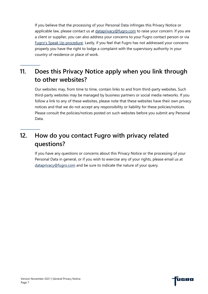If you believe that the processing of your Personal Data infringes this Privacy Notice or applicable law, please contact us at dataprivacy@fugro.com to raise your concern. If you are a client or supplier, you can also address your concerns to your Fugro contact person or via Fugro's Speak Up procedure. Lastly, if you feel that Fugro has not addressed your concerns properly you have the right to lodge a complaint with the supervisory authority in your country of residence or place of work.

# **11. Does this Privacy Notice apply when you link through to other websites?**

Our websites may, from time to time, contain links to and from third-party websites, Such third-party websites may be managed by business partners or social media networks. If you follow a link to any of these websites, please note that these websites have their own privacy notices and that we do not accept any responsibility or liability for these policies/notices. Please consult the policies/notices posted on such websites before you submit any Personal Data.

## **12. How do you contact Fugro with privacy related questions?**

If you have any questions or concerns about this Privacy Notice or the processing of your Personal Data in general, or if you wish to exercise any of your rights, please email us at dataprivacy@fugro.com and be sure to indicate the nature of your query.



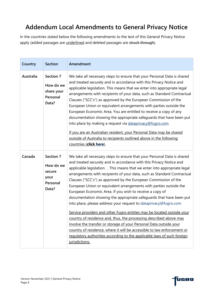## **Addendum Local Amendments to General Privacy Notice**

In the countries stated below the following amendments to the text of this General Privacy Notice apply (added passages are underlined and deleted passages are struck through).

| Country   | <b>Section</b>                                                | Amendment                                                                                                                                                                                                                                                                                                                                                                                                                                                                                                                                                                                                                                                                                                                                                                                                                                                                                                                                                                                                                                             |
|-----------|---------------------------------------------------------------|-------------------------------------------------------------------------------------------------------------------------------------------------------------------------------------------------------------------------------------------------------------------------------------------------------------------------------------------------------------------------------------------------------------------------------------------------------------------------------------------------------------------------------------------------------------------------------------------------------------------------------------------------------------------------------------------------------------------------------------------------------------------------------------------------------------------------------------------------------------------------------------------------------------------------------------------------------------------------------------------------------------------------------------------------------|
| Australia | Section 7<br>How do we<br>share your<br>Personal<br>Data?     | We take all necessary steps to ensure that your Personal Data is shared<br>and treated securely and in accordance with this Privacy Notice and<br>applicable legislation. This means that we enter into appropriate legal<br>arrangements with recipients of your data, such as Standard Contractual<br>Clauses ("SCC's") as approved by the European Commission of the<br>European Union or equivalent arrangements with parties outside the<br>European Economic Area. You are entitled to receive a copy of any<br>documentation showing the appropriate safeguards that have been put<br>into place by making a request via dataprivacy@fugro.com.<br>If you are an Australian resident, your Personal Data may be shared<br>outside of Australia to recipients outlined above in the following<br>countries (click here).                                                                                                                                                                                                                        |
| Canada    | Section 7<br>How do we<br>secure<br>your<br>Personal<br>Data? | We take all necessary steps to ensure that your Personal Data is shared<br>and treated securely and in accordance with this Privacy Notice and<br>applicable legislation. . This means that we enter into appropriate legal<br>arrangements with recipients of your data, such as Standard Contractual<br>Clauses ("SCC's") as approved by the European Commission of the<br>European Union or equivalent arrangements with parties outside the<br>European Economic Area. If you wish to receive a copy of<br>documentation showing the appropriate safeguards that have been put<br>into place, please address your request to dataprivacy@fugro.com.<br>Service providers and other Fugro entities may be located outside your<br>country of residence and, thus, the processing described above may<br>involve the transfer or storage of your Personal Data outside your<br>country of residence, where it will be accessible to law enforcement or<br>regulatory authorities according to the applicable laws of such foreign<br>jurisdictions. |

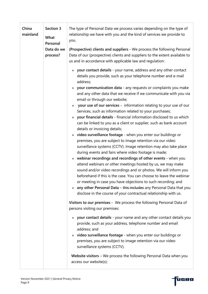| China<br>mainland | Section 3<br>What<br>Personal<br>Data do we<br>process? | The type of Personal Data we process varies depending on the type of<br>relationship we have with you and the kind of services we provide to<br>you.                                                                                                                                                                                                                                                                                                                                                                                                                                                                                                                                                                                                       |
|-------------------|---------------------------------------------------------|------------------------------------------------------------------------------------------------------------------------------------------------------------------------------------------------------------------------------------------------------------------------------------------------------------------------------------------------------------------------------------------------------------------------------------------------------------------------------------------------------------------------------------------------------------------------------------------------------------------------------------------------------------------------------------------------------------------------------------------------------------|
|                   |                                                         | (Prospective) clients and suppliers - We process the following Personal<br>Data of our (prospective) clients and suppliers to the extent available to<br>us and in accordance with applicable law and regulation:                                                                                                                                                                                                                                                                                                                                                                                                                                                                                                                                          |
|                   |                                                         | your contact details - your name, address and any other contact<br>×.<br>details you provide, such as your telephone number and e-mail<br>address;                                                                                                                                                                                                                                                                                                                                                                                                                                                                                                                                                                                                         |
|                   |                                                         | your communication data - any requests or complaints you make<br>П<br>and any other data that we receive if we communicate with you via<br>email or through our website;                                                                                                                                                                                                                                                                                                                                                                                                                                                                                                                                                                                   |
|                   |                                                         | your use of our services - information relating to your use of our<br>Services, such as information related to your purchases;<br>your financial details - financial information disclosed to us which<br>×.<br>can be linked to you as a client or supplier, such as bank account<br>details or invoicing details;                                                                                                                                                                                                                                                                                                                                                                                                                                        |
|                   |                                                         | video surveillance footage - when you enter our buildings or<br>П<br>premises, you are subject to image retention via our video<br>surveillance systems (CCTV). Image retention may also take place<br>during events and fairs where video footage is made;<br>webinar recordings and recordings of other events - when you<br>Ш<br>attend webinars or other meetings hosted by us, we may make<br>sound and/or video recordings and or photos. We will inform you<br>beforehand if this is the case. You can choose to leave the webinar<br>or meeting in case you have objections to such recording; and<br>any other Personal Data - this includes any Personal Data that you<br>×,<br>disclose in the course of your contractual relationship with us. |
|                   |                                                         | Visitors to our premises - We process the following Personal Data of<br>persons visiting our premises:                                                                                                                                                                                                                                                                                                                                                                                                                                                                                                                                                                                                                                                     |
|                   |                                                         | your contact details - your name and any other contact details you<br><b>I</b><br>provide, such as your address, telephone number and email<br>address; and<br>• video surveillance footage - when you enter our buildings or<br>premises, you are subject to image retention via our video<br>surveillance systems (CCTV).                                                                                                                                                                                                                                                                                                                                                                                                                                |
|                   |                                                         | Website visitors - We process the following Personal Data when you<br>access our website(s):                                                                                                                                                                                                                                                                                                                                                                                                                                                                                                                                                                                                                                                               |

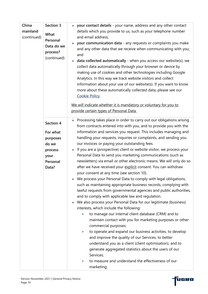| China<br>mainland<br>(continued) | Section 3<br>What<br>Personal<br>Data do we<br>process?<br>(continued)             | your contact details - your name, address and any other contact<br>$\overline{\phantom{a}}$<br>details which you provide to us, such as your telephone number<br>and email address;<br>your communication data - any requests or complaints you make<br>×.<br>and any other data that we receive when communicating with you;<br>and<br>data collected automatically - when you access our website(s), we<br>×.<br>collect data automatically through your browser or device by<br>making use of cookies and other technologies including Google<br>Analytics. In this way we track website visitors and collect<br>information about your use of our website(s). If you want to know<br>more about these automatically collected data, please see our<br>Cookie Policy.                                                                                                                                                                                                                                                                                                                                                                                                                                                                                                                                                                                                                                                                                                                                                                                                                       |
|----------------------------------|------------------------------------------------------------------------------------|------------------------------------------------------------------------------------------------------------------------------------------------------------------------------------------------------------------------------------------------------------------------------------------------------------------------------------------------------------------------------------------------------------------------------------------------------------------------------------------------------------------------------------------------------------------------------------------------------------------------------------------------------------------------------------------------------------------------------------------------------------------------------------------------------------------------------------------------------------------------------------------------------------------------------------------------------------------------------------------------------------------------------------------------------------------------------------------------------------------------------------------------------------------------------------------------------------------------------------------------------------------------------------------------------------------------------------------------------------------------------------------------------------------------------------------------------------------------------------------------------------------------------------------------------------------------------------------------|
|                                  |                                                                                    | We will indicate whether it is mandatory or voluntary for you to<br>provide certain types of Personal Data.                                                                                                                                                                                                                                                                                                                                                                                                                                                                                                                                                                                                                                                                                                                                                                                                                                                                                                                                                                                                                                                                                                                                                                                                                                                                                                                                                                                                                                                                                    |
|                                  | Section 4<br>For what<br>purposes<br>do we<br>process<br>your<br>Personal<br>Data? | Processing takes place in order to carry out our obligations arising<br>$\Box$<br>from contracts entered into with you, and to provide you with the<br>information and services you request. This includes managing and<br>handling your requests, inquiries or complaints, and sending you<br>our invoices or paying your outstanding fees.<br>If you are a (prospective) client or website visitor, we process your<br>$\overline{\phantom{a}}$<br>Personal Data to send you marketing communications (such as<br>newsletters) via email or other electronic means. We will only do so<br>after we have received your explicit consent. You can withdraw<br>your consent at any time (see section 10).<br>We process your Personal Data to comply with legal obligations,<br>such as maintaining appropriate business records, complying with<br>lawful requests from governmental agencies and public authorities,<br>and to comply with applicable law and regulation.<br>We also process your Personal Data for our legitimate (business)<br>H.<br>interests, which include the following:<br>to manage our internal client database (CRM) and to<br>maintain contact with you for marketing purposes or other<br>commercial purposes;<br>to operate and expand our business activities, to develop<br>$\bullet$<br>and improve the quality of our Services, to better<br>understand you as a client (client optimisation), and to<br>generate aggregated statistics about the users of our<br>Services;<br>to measure and understand the effectiveness of our<br>$\bullet$<br>marketing; |

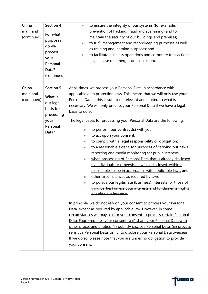| China<br>mainland<br>(continued) | Section 4<br>For what<br>purposes<br>do we<br>process<br>your<br>Personal<br>Data?<br>(continued) | to ensure the integrity of our systems (for example,<br>$\bullet$<br>prevention of hacking, fraud and spamming) and to<br>maintain the security of our buildings and premises;<br>to fulfil management and recordkeeping purposes as well<br>$\bullet$<br>as training and learning purposes; and<br>to facilitate business operations and corporate transactions<br>$\bullet$<br>(e.g. in case of a merger or acquisition).                                                                                                                                                                                                                                                                                                                                                                                                                                                                                                                                                                                                                                                                                                                                                                                                                                                                                                                                                                                                                                                                                                                                                                                                                                                                                               |
|----------------------------------|---------------------------------------------------------------------------------------------------|---------------------------------------------------------------------------------------------------------------------------------------------------------------------------------------------------------------------------------------------------------------------------------------------------------------------------------------------------------------------------------------------------------------------------------------------------------------------------------------------------------------------------------------------------------------------------------------------------------------------------------------------------------------------------------------------------------------------------------------------------------------------------------------------------------------------------------------------------------------------------------------------------------------------------------------------------------------------------------------------------------------------------------------------------------------------------------------------------------------------------------------------------------------------------------------------------------------------------------------------------------------------------------------------------------------------------------------------------------------------------------------------------------------------------------------------------------------------------------------------------------------------------------------------------------------------------------------------------------------------------------------------------------------------------------------------------------------------------|
| China<br>mainland<br>(continued) | <b>Section 5</b><br>What is<br>our legal<br>basis for<br>processing<br>your<br>Personal<br>Data?  | At all times, we process your Personal Data in accordance with<br>applicable data protection laws. This means that we will only use your<br>Personal Data if this is sufficient, relevant and limited to what is<br>necessary. We will only process your Personal Data if we have a legal<br>basis to do so.<br>The legal bases for processing your Personal Data are the following:<br>to perform our contract(s) with you;<br>$\overline{\phantom{a}}$<br>to act upon your consent;<br>×,<br>to comply with a legal responsibility or obligation;<br>$\mathcal{L}_{\mathcal{A}}$<br>to a reasonable extent, for purposes of carrying out news<br>$\mathcal{L}_{\mathcal{A}}$<br>reporting and media monitoring for public interests,<br>when processing of Personal Data that is already disclosed<br>$\mathcal{L}_{\mathcal{A}}$<br>by individuals or otherwise lawfully disclosed, within a<br>reasonable scope in accordance with applicable laws; and<br>other circumstances as required by laws.<br>×.<br>to pursue our legitimate (business) interests (or those of<br>third parties) unless your interests and fundamental rights<br>override our interests.<br>In principle, we do not rely on your consent to process your Personal<br>Data, except as required by applicable law. However, in some<br>circumstances we may ask for your consent to process certain Personal<br>Data. Fugro requires your consent to (i) share your Personal Data with<br>other processing entities, (ii) publicly disclose Personal Data, (iii) process<br>sensitive Personal Data, or (iv) to disclose your Personal Data overseas.<br>If we do so, please note that you are under no obligation to provide<br>your consent. |

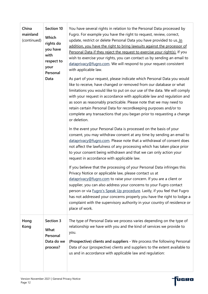| China<br>mainland<br>(continued) | Section 10<br>Which<br>rights do<br>you have<br>with<br>respect to<br>your<br>Personal<br>Data | You have several rights in relation to the Personal Data processed by<br>Fugro. For example you have the right to request, review, correct,<br>update, restrict or delete Personal Data you have provided to us. In<br>addition, you have the right to bring lawsuits against the processor of<br>Personal Data if they reject the request to exercise your right(s). If you<br>wish to exercise your rights, you can contact us by sending an email to<br>dataprivacy@fugro.com. We will respond to your request consistent<br>with applicable law.<br>As part of your request, please indicate which Personal Data you would<br>like to receive, have changed or removed from our database or what<br>limitations you would like to put on our use of the data. We will comply<br>with your request in accordance with applicable law and regulation and<br>as soon as reasonably practicable. Please note that we may need to<br>retain certain Personal Data for recordkeeping purposes and/or to<br>complete any transactions that you began prior to requesting a change<br>or deletion. |
|----------------------------------|------------------------------------------------------------------------------------------------|------------------------------------------------------------------------------------------------------------------------------------------------------------------------------------------------------------------------------------------------------------------------------------------------------------------------------------------------------------------------------------------------------------------------------------------------------------------------------------------------------------------------------------------------------------------------------------------------------------------------------------------------------------------------------------------------------------------------------------------------------------------------------------------------------------------------------------------------------------------------------------------------------------------------------------------------------------------------------------------------------------------------------------------------------------------------------------------------|
|                                  |                                                                                                | In the event your Personal Data is processed on the basis of your<br>consent, you may withdraw consent at any time by sending an email to<br>dataprivacy@fugro.com. Please note that a withdrawal of consent does<br>not affect the lawfulness of any processing which has taken place prior<br>to your consent being withdrawn and that we can only action your<br>request in accordance with applicable law.                                                                                                                                                                                                                                                                                                                                                                                                                                                                                                                                                                                                                                                                                 |
|                                  |                                                                                                | If you believe that the processing of your Personal Data infringes this<br>Privacy Notice or applicable law, please contact us at<br>dataprivacy@fugro.com to raise your concern. If you are a client or<br>supplier, you can also address your concerns to your Fugro contact<br>person or via Fugro's Speak Up procedure. Lastly, if you feel that Fugro<br>has not addressed your concerns properly you have the right to lodge a<br>complaint with the supervisory authority in your country of residence or<br>place of work.                                                                                                                                                                                                                                                                                                                                                                                                                                                                                                                                                             |
| Hong<br>Kong                     | Section 3<br>What<br>Personal<br>Data do we<br>process?                                        | The type of Personal Data we process varies depending on the type of<br>relationship we have with you and the kind of services we provide to<br>you.<br>(Prospective) clients and suppliers - We process the following Personal<br>Data of our (prospective) clients and suppliers to the extent available to<br>us and in accordance with applicable law and regulation:                                                                                                                                                                                                                                                                                                                                                                                                                                                                                                                                                                                                                                                                                                                      |

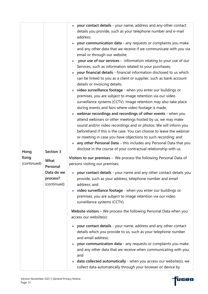|             |             | your contact details - your name, address and any other contact                          |
|-------------|-------------|------------------------------------------------------------------------------------------|
|             |             | details you provide, such as your telephone number and e-mail                            |
|             |             | address;                                                                                 |
|             |             |                                                                                          |
|             |             | your communication data - any requests or complaints you make<br>×.                      |
|             |             | and any other data that we receive if we communicate with you via                        |
|             |             | email or through our website;                                                            |
|             |             | your use of our services - information relating to your use of our<br>×.                 |
|             |             | Services, such as information related to your purchases;                                 |
|             |             | your financial details - financial information disclosed to us which<br>Ш                |
|             |             | can be linked to you as a client or supplier, such as bank account                       |
|             |             | details or invoicing details;                                                            |
|             |             | video surveillance footage - when you enter our buildings or<br>$\Box$                   |
|             |             | premises, you are subject to image retention via our video                               |
|             |             | surveillance systems (CCTV). Image retention may also take place                         |
|             |             | during events and fairs where video footage is made;                                     |
|             |             | webinar recordings and recordings of other events - when you                             |
|             |             | attend webinars or other meetings hosted by us, we may make                              |
|             |             |                                                                                          |
|             |             | sound and/or video recordings and or photos. We will inform you                          |
|             |             | beforehand if this is the case. You can choose to leave the webinar                      |
|             |             | or meeting in case you have objections to such recording; and                            |
|             |             | any other Personal Data - this includes any Personal Data that you                       |
| Hong        | Section 3   | disclose in the course of your contractual relationship with us.                         |
| Kong        |             | Visitors to our premises - We process the following Personal Data of                     |
| (continued) | What        | persons visiting our premises:                                                           |
|             | Personal    |                                                                                          |
|             | Data do we  | your contact details - your name and any other contact details you                       |
|             | process?    | provide, such as your address, telephone number and email                                |
|             | (continued) | address; and                                                                             |
|             |             | video surveillance footage - when you enter our buildings or<br>$\overline{\phantom{a}}$ |
|             |             | premises, you are subject to image retention via our video                               |
|             |             | surveillance systems (CCTV).                                                             |
|             |             |                                                                                          |
|             |             | Website visitors - We process the following Personal Data when you                       |
|             |             | access our website(s):                                                                   |
|             |             | your contact details - your name, address and any other contact<br>o.                    |
|             |             | details which you provide to us, such as your telephone number                           |
|             |             | and email address;                                                                       |
|             |             | your communication data - any requests or complaints you make<br>×.                      |
|             |             | and any other data that we receive when communicating with you;                          |
|             |             | and                                                                                      |
|             |             | data collected automatically - when you access our website(s), we<br>×.                  |
|             |             |                                                                                          |
|             |             | collect data automatically through your browser or device by                             |

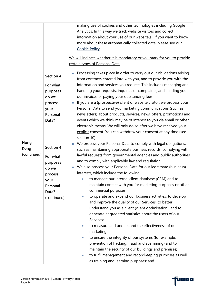|             |             | making use of cookies and other technologies including Google<br>Analytics. In this way we track website visitors and collect                        |
|-------------|-------------|------------------------------------------------------------------------------------------------------------------------------------------------------|
|             |             | information about your use of our website(s). If you want to know<br>more about these automatically collected data, please see our<br>Cookie Policy. |
|             |             | We will indicate whether it is mandatory or voluntary for you to provide                                                                             |
|             |             | certain types of Personal Data.                                                                                                                      |
|             |             |                                                                                                                                                      |
|             | Section 4   | Processing takes place in order to carry out our obligations arising<br>m,<br>from contracts entered into with you, and to provide you with the      |
|             | For what    | information and services you request. This includes managing and                                                                                     |
|             | purposes    | handling your requests, inquiries or complaints, and sending you                                                                                     |
|             | do we       | our invoices or paying your outstanding fees.                                                                                                        |
|             | process     | If you are a (prospective) client or website visitor, we process your<br>$\overline{\phantom{a}}$                                                    |
|             | your        | Personal Data to send you marketing communications (such as                                                                                          |
|             | Personal    | newsletters) about products, services, news, offers, promotions and                                                                                  |
|             | Data?       | events which we think may be of interest to you via email or other                                                                                   |
|             |             | electronic means. We will only do so after we have received your                                                                                     |
|             |             | explicit consent. You can withdraw your consent at any time (see                                                                                     |
|             |             | section 10).                                                                                                                                         |
| Hong        |             | We process your Personal Data to comply with legal obligations,                                                                                      |
| Kong        | Section 4   | such as maintaining appropriate business records, complying with                                                                                     |
| (continued) | For what    | lawful requests from governmental agencies and public authorities,                                                                                   |
|             | purposes    | and to comply with applicable law and regulation.                                                                                                    |
|             | do we       | We also process your Personal Data for our legitimate (business)<br><b>I</b>                                                                         |
|             | process     | interests, which include the following:                                                                                                              |
|             | your        | to manage our internal client database (CRM) and to                                                                                                  |
|             | Personal    | maintain contact with you for marketing purposes or other                                                                                            |
|             | Data?       | commercial purposes;                                                                                                                                 |
|             | (continued) | to operate and expand our business activities, to develop<br>$\bullet$                                                                               |
|             |             | and improve the quality of our Services, to better                                                                                                   |
|             |             | understand you as a client (client optimisation), and to                                                                                             |
|             |             | generate aggregated statistics about the users of our                                                                                                |
|             |             | Services;                                                                                                                                            |
|             |             | to measure and understand the effectiveness of our<br>٠<br>marketing;                                                                                |
|             |             | to ensure the integrity of our systems (for example,<br>$\bullet$                                                                                    |
|             |             | prevention of hacking, fraud and spamming) and to                                                                                                    |
|             |             | maintain the security of our buildings and premises;                                                                                                 |
|             |             | to fulfil management and recordkeeping purposes as well<br>$\bullet$                                                                                 |
|             |             | as training and learning purposes; and                                                                                                               |